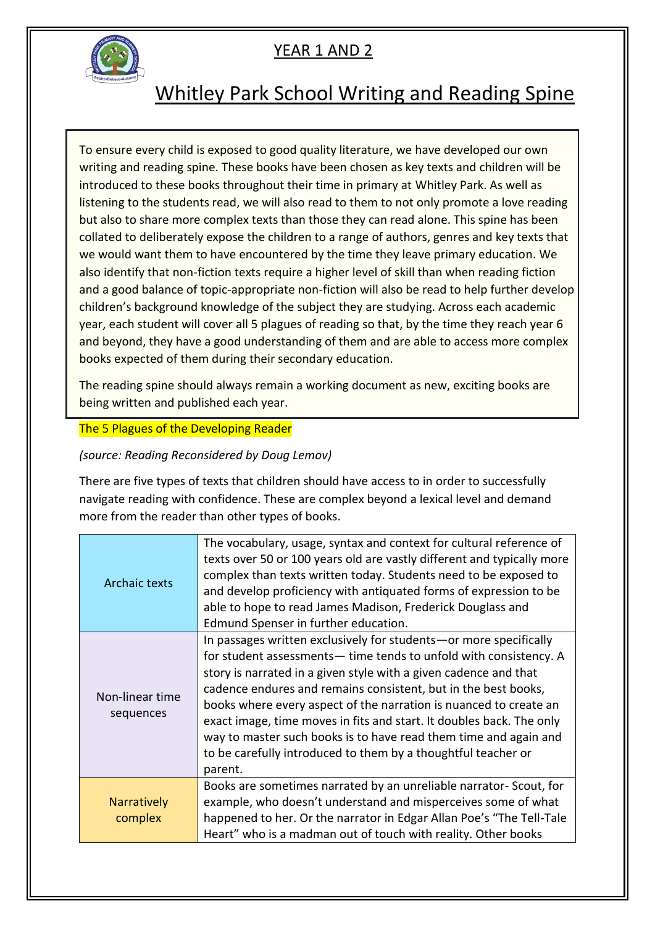

### Whitley Park School Writing and Reading Spine

To ensure every child is exposed to good quality literature, we have developed our own writing and reading spine. These books have been chosen as key texts and children will be introduced to these books throughout their time in primary at Whitley Park. As well as listening to the students read, we will also read to them to not only promote a love reading but also to share more complex texts than those they can read alone. This spine has been collated to deliberately expose the children to a range of authors, genres and key texts that we would want them to have encountered by the time they leave primary education. We also identify that non-fiction texts require a higher level of skill than when reading fiction and a good balance of topic-appropriate non-fiction will also be read to help further develop children's background knowledge of the subject they are studying. Across each academic year, each student will cover all 5 plagues of reading so that, by the time they reach year 6 and beyond, they have a good understanding of them and are able to access more complex books expected of them during their secondary education.

The reading spine should always remain a working document as new, exciting books are being written and published each year.

#### The 5 Plagues of the Developing Reader

*(source: Reading Reconsidered by Doug Lemov)*

There are five types of texts that children should have access to in order to successfully navigate reading with confidence. These are complex beyond a lexical level and demand more from the reader than other types of books.

| Archaic texts                 | The vocabulary, usage, syntax and context for cultural reference of<br>texts over 50 or 100 years old are vastly different and typically more<br>complex than texts written today. Students need to be exposed to<br>and develop proficiency with antiquated forms of expression to be<br>able to hope to read James Madison, Frederick Douglass and<br>Edmund Spenser in further education.                                                                                                                                                                                |
|-------------------------------|-----------------------------------------------------------------------------------------------------------------------------------------------------------------------------------------------------------------------------------------------------------------------------------------------------------------------------------------------------------------------------------------------------------------------------------------------------------------------------------------------------------------------------------------------------------------------------|
| Non-linear time<br>sequences  | In passages written exclusively for students - or more specifically<br>for student assessments— time tends to unfold with consistency. A<br>story is narrated in a given style with a given cadence and that<br>cadence endures and remains consistent, but in the best books,<br>books where every aspect of the narration is nuanced to create an<br>exact image, time moves in fits and start. It doubles back. The only<br>way to master such books is to have read them time and again and<br>to be carefully introduced to them by a thoughtful teacher or<br>parent. |
| <b>Narratively</b><br>complex | Books are sometimes narrated by an unreliable narrator- Scout, for<br>example, who doesn't understand and misperceives some of what<br>happened to her. Or the narrator in Edgar Allan Poe's "The Tell-Tale<br>Heart" who is a madman out of touch with reality. Other books                                                                                                                                                                                                                                                                                                |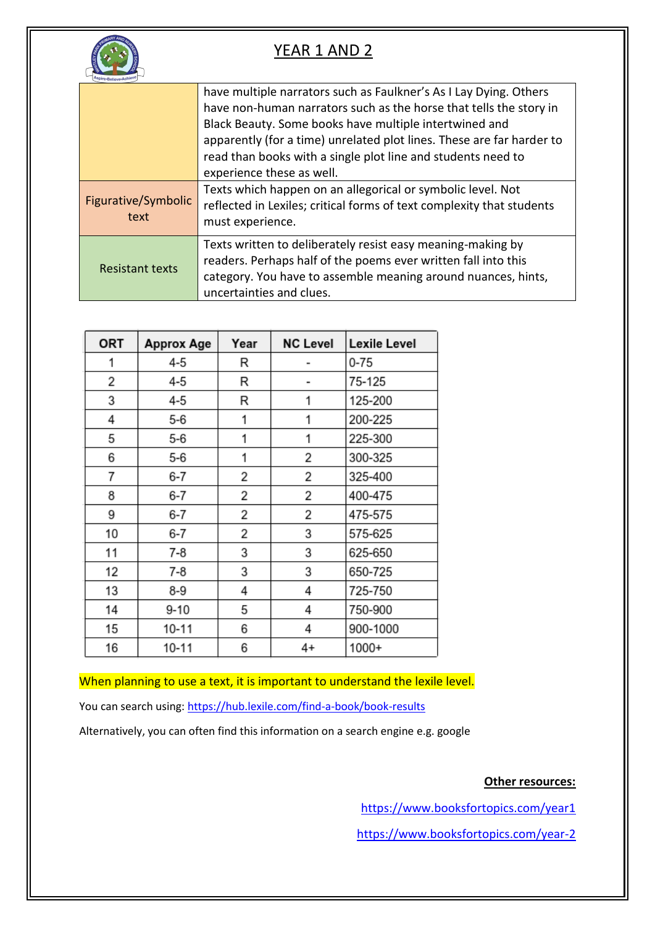

|                             | have multiple narrators such as Faulkner's As I Lay Dying. Others<br>have non-human narrators such as the horse that tells the story in<br>Black Beauty. Some books have multiple intertwined and<br>apparently (for a time) unrelated plot lines. These are far harder to<br>read than books with a single plot line and students need to<br>experience these as well. |
|-----------------------------|-------------------------------------------------------------------------------------------------------------------------------------------------------------------------------------------------------------------------------------------------------------------------------------------------------------------------------------------------------------------------|
| Figurative/Symbolic<br>text | Texts which happen on an allegorical or symbolic level. Not<br>reflected in Lexiles; critical forms of text complexity that students<br>must experience.                                                                                                                                                                                                                |
| <b>Resistant texts</b>      | Texts written to deliberately resist easy meaning-making by<br>readers. Perhaps half of the poems ever written fall into this<br>category. You have to assemble meaning around nuances, hints,<br>uncertainties and clues.                                                                                                                                              |

| <b>ORT</b> | <b>Approx Age</b> | Year | <b>NC Level</b> | Lexile Level |
|------------|-------------------|------|-----------------|--------------|
| 1          | 4-5               | R    |                 | $0 - 75$     |
| 2          | 4-5               | R    |                 | 75-125       |
| 3          | 4-5               | R    | 1               | 125-200      |
| 4          | 5-6               | 1    | 1               | 200-225      |
| 5          | 5-6               | 1    | 1               | 225-300      |
| 6          | 5-6               | 1    | 2               | 300-325      |
| 7          | 6-7               | 2    | 2               | 325-400      |
| 8          | 6-7               | 2    | 2               | 400-475      |
| 9          | 6-7               | 2    | 2               | 475-575      |
| 10         | 6-7               | 2    | 3               | 575-625      |
| 11         | $7 - 8$           | 3    | 3               | 625-650      |
| 12         | $7-8$             | 3    | 3               | 650-725      |
| 13         | 8-9               | 4    | 4               | 725-750      |
| 14         | $9 - 10$          | 5    | 4               | 750-900      |
| 15         | 10-11             | 6    | 4               | 900-1000     |
| 16         | $10 - 11$         | 6    | 4+              | 1000+        |

When planning to use a text, it is important to understand the lexile level.

You can search using:<https://hub.lexile.com/find-a-book/book-results>

Alternatively, you can often find this information on a search engine e.g. google

**Other resources:**

<https://www.booksfortopics.com/year1>

<https://www.booksfortopics.com/year-2>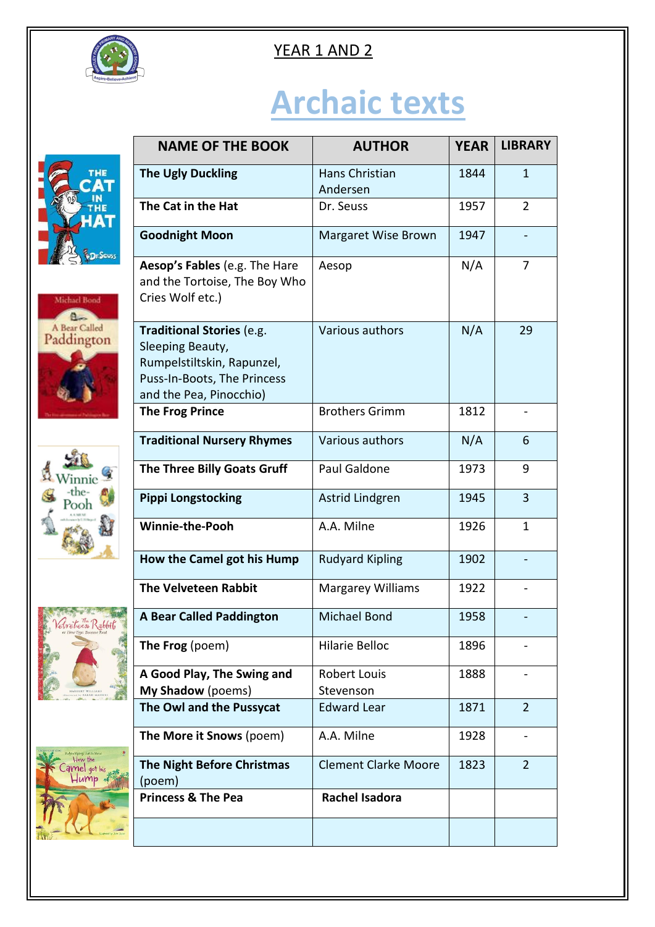

# **Archaic texts**











| <b>NAME OF THE BOOK</b>                                                                                                                      | <b>AUTHOR</b>                    | <b>YEAR</b> | <b>LIBRARY</b> |
|----------------------------------------------------------------------------------------------------------------------------------------------|----------------------------------|-------------|----------------|
| <b>The Ugly Duckling</b>                                                                                                                     | Hans Christian<br>Andersen       | 1844        | $\mathbf{1}$   |
| The Cat in the Hat                                                                                                                           | Dr. Seuss                        | 1957        | $\overline{2}$ |
| <b>Goodnight Moon</b>                                                                                                                        | Margaret Wise Brown              | 1947        |                |
| Aesop's Fables (e.g. The Hare<br>and the Tortoise, The Boy Who<br>Cries Wolf etc.)                                                           | Aesop                            | N/A         | 7              |
| <b>Traditional Stories (e.g.</b><br>Sleeping Beauty,<br>Rumpelstiltskin, Rapunzel,<br>Puss-In-Boots, The Princess<br>and the Pea, Pinocchio) | Various authors                  | N/A         | 29             |
| <b>The Frog Prince</b>                                                                                                                       | <b>Brothers Grimm</b>            | 1812        |                |
| <b>Traditional Nursery Rhymes</b>                                                                                                            | Various authors                  | N/A         | 6              |
| The Three Billy Goats Gruff                                                                                                                  | Paul Galdone                     | 1973        | 9              |
| <b>Pippi Longstocking</b>                                                                                                                    | Astrid Lindgren                  | 1945        | $\overline{3}$ |
| <b>Winnie-the-Pooh</b>                                                                                                                       | A.A. Milne                       | 1926        | $\mathbf{1}$   |
| How the Camel got his Hump                                                                                                                   | <b>Rudyard Kipling</b>           | 1902        |                |
| <b>The Velveteen Rabbit</b>                                                                                                                  | <b>Margarey Williams</b>         | 1922        |                |
| <b>A Bear Called Paddington</b>                                                                                                              | <b>Michael Bond</b>              | 1958        |                |
| The Frog (poem)                                                                                                                              | <b>Hilarie Belloc</b>            | 1896        |                |
| A Good Play, The Swing and<br>My Shadow (poems)                                                                                              | <b>Robert Louis</b><br>Stevenson | 1888        |                |
| The Owl and the Pussycat                                                                                                                     | <b>Edward Lear</b>               | 1871        | $\overline{2}$ |
| The More it Snows (poem)                                                                                                                     | A.A. Milne                       | 1928        |                |
| <b>The Night Before Christmas</b><br>(poem)                                                                                                  | <b>Clement Clarke Moore</b>      | 1823        | $\overline{2}$ |
| <b>Princess &amp; The Pea</b>                                                                                                                | <b>Rachel Isadora</b>            |             |                |
|                                                                                                                                              |                                  |             |                |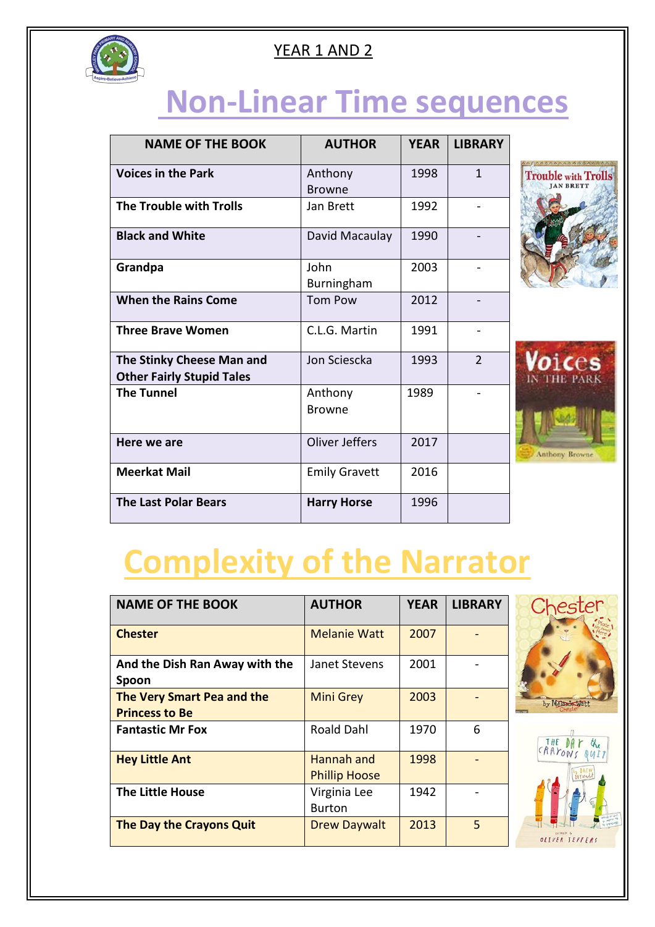

## **Non-Linear Time sequences**

| <b>NAME OF THE BOOK</b>                                       | <b>AUTHOR</b>            | <b>YEAR</b> | <b>LIBRARY</b> |
|---------------------------------------------------------------|--------------------------|-------------|----------------|
| <b>Voices in the Park</b>                                     | Anthony<br><b>Browne</b> | 1998        | 1              |
| The Trouble with Trolls                                       | Jan Brett                | 1992        |                |
| <b>Black and White</b>                                        | David Macaulay           | 1990        |                |
| Grandpa                                                       | John<br>Burningham       | 2003        |                |
| <b>When the Rains Come</b>                                    | <b>Tom Pow</b>           | 2012        |                |
| <b>Three Brave Women</b>                                      | C.L.G. Martin            | 1991        |                |
| The Stinky Cheese Man and<br><b>Other Fairly Stupid Tales</b> | Jon Sciescka             | 1993        | $\overline{2}$ |
| <b>The Tunnel</b>                                             | Anthony<br><b>Browne</b> | 1989        |                |
| Here we are                                                   | <b>Oliver Jeffers</b>    | 2017        |                |
| <b>Meerkat Mail</b>                                           | <b>Emily Gravett</b>     | 2016        |                |
| <b>The Last Polar Bears</b>                                   | <b>Harry Horse</b>       | 1996        |                |





# **Complexity of the Narrator**

| <b>NAME OF THE BOOK</b>                             | <b>AUTHOR</b>                      | <b>YEAR</b> | <b>LIBRARY</b> |
|-----------------------------------------------------|------------------------------------|-------------|----------------|
| <b>Chester</b>                                      | <b>Melanie Watt</b>                | 2007        |                |
| And the Dish Ran Away with the<br>Spoon             | Janet Stevens                      | 2001        |                |
| The Very Smart Pea and the<br><b>Princess to Be</b> | <b>Mini Grey</b>                   | 2003        |                |
| <b>Fantastic Mr Fox</b>                             | <b>Roald Dahl</b>                  | 1970        | 6              |
| <b>Hey Little Ant</b>                               | Hannah and<br><b>Phillip Hoose</b> | 1998        |                |
| <b>The Little House</b>                             | Virginia Lee<br><b>Burton</b>      | 1942        |                |
| The Day the Crayons Quit                            | <b>Drew Daywalt</b>                | 2013        | 5              |



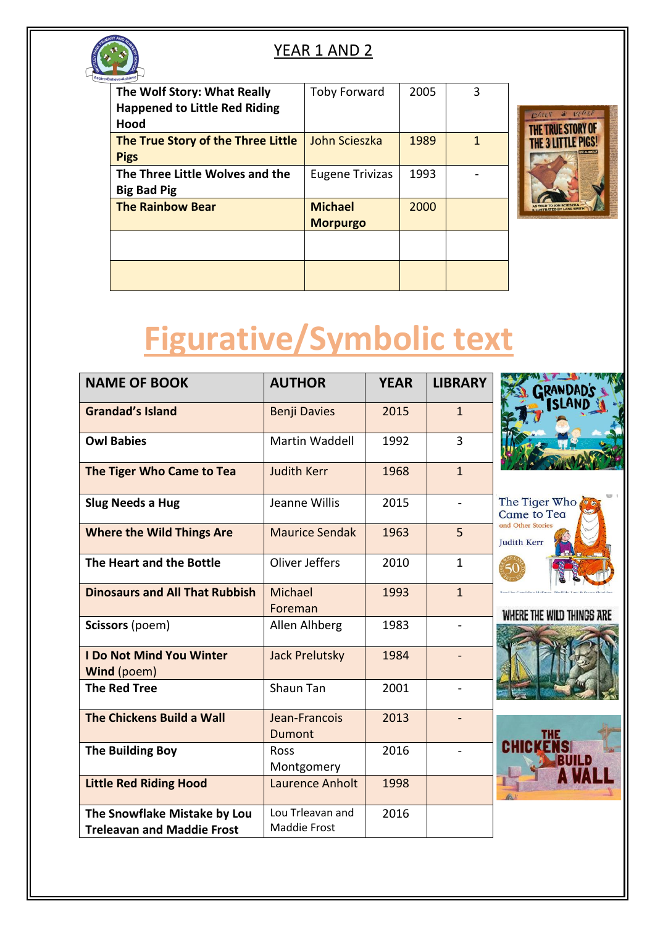

| The Wolf Story: What Really          | <b>Toby Forward</b>    | 2005 | 3 |
|--------------------------------------|------------------------|------|---|
| <b>Happened to Little Red Riding</b> |                        |      |   |
| Hood                                 |                        |      |   |
| The True Story of the Three Little   | John Scieszka          | 1989 |   |
| <b>Pigs</b>                          |                        |      |   |
| The Three Little Wolves and the      | <b>Eugene Trivizas</b> | 1993 |   |
| <b>Big Bad Pig</b>                   |                        |      |   |
| <b>The Rainbow Bear</b>              | <b>Michael</b>         | 2000 |   |
|                                      | <b>Morpurgo</b>        |      |   |
|                                      |                        |      |   |
|                                      |                        |      |   |
|                                      |                        |      |   |
|                                      |                        |      |   |



# **Figurative/Symbolic text**

| <b>NAME OF BOOK</b>                                               | <b>AUTHOR</b>                    | <b>YEAR</b> | <b>LIBRARY</b>           | <b>ISLAN</b>                            |
|-------------------------------------------------------------------|----------------------------------|-------------|--------------------------|-----------------------------------------|
| <b>Grandad's Island</b>                                           | <b>Benji Davies</b>              | 2015        | $\mathbf{1}$             |                                         |
| <b>Owl Babies</b>                                                 | Martin Waddell                   | 1992        | $\overline{3}$           |                                         |
| The Tiger Who Came to Tea                                         | <b>Judith Kerr</b>               | 1968        | $\mathbf{1}$             |                                         |
| <b>Slug Needs a Hug</b>                                           | Jeanne Willis                    | 2015        |                          | The Tiger Who<br>Came to Tea            |
| <b>Where the Wild Things Are</b>                                  | <b>Maurice Sendak</b>            | 1963        | 5                        | and Other Stories<br><b>Judith Kerr</b> |
| The Heart and the Bottle                                          | Oliver Jeffers                   | 2010        | $\mathbf{1}$             |                                         |
| <b>Dinosaurs and All That Rubbish</b>                             | Michael<br>Foreman               | 1993        | $\overline{1}$           | WHERE THE WILD THINGS ARE               |
| Scissors (poem)                                                   | Allen Alhberg                    | 1983        | $\overline{\phantom{a}}$ |                                         |
| <b>I Do Not Mind You Winter</b><br>Wind (poem)                    | <b>Jack Prelutsky</b>            | 1984        |                          |                                         |
| <b>The Red Tree</b>                                               | Shaun Tan                        | 2001        |                          |                                         |
| The Chickens Build a Wall                                         | Jean-Francois<br><b>Dumont</b>   | 2013        |                          |                                         |
| <b>The Building Boy</b>                                           | Ross<br>Montgomery               | 2016        |                          |                                         |
| <b>Little Red Riding Hood</b>                                     | Laurence Anholt                  | 1998        |                          |                                         |
| The Snowflake Mistake by Lou<br><b>Treleavan and Maddie Frost</b> | Lou Trleavan and<br>Maddie Frost | 2016        |                          |                                         |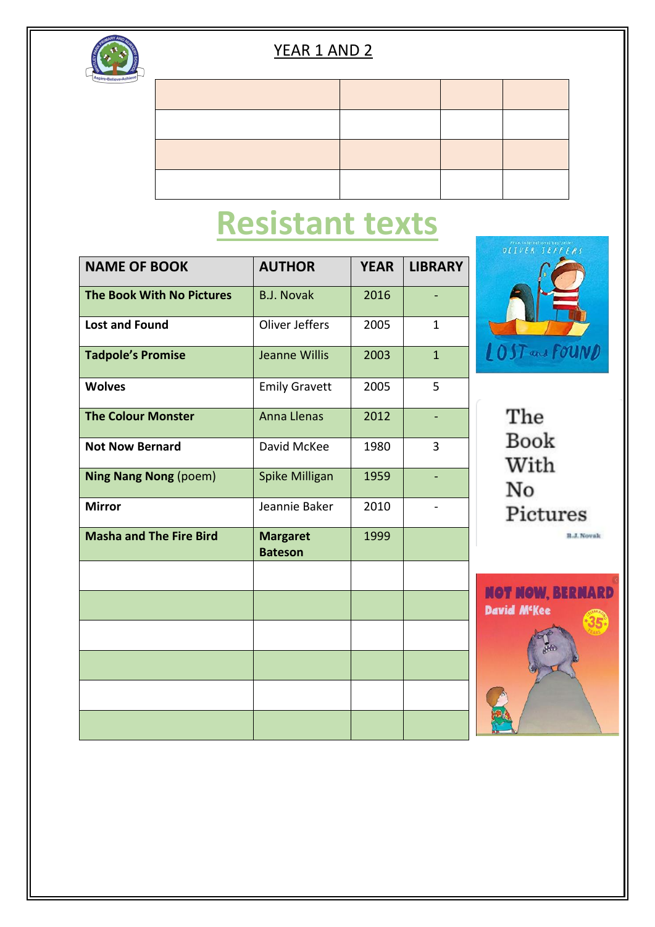

### **Resistant texts**

| <b>NAME OF BOOK</b>              | <b>AUTHOR</b>                     | <b>YEAR</b> | <b>LIBRARY</b> |
|----------------------------------|-----------------------------------|-------------|----------------|
|                                  |                                   |             |                |
| <b>The Book With No Pictures</b> | <b>B.J. Novak</b>                 | 2016        |                |
| <b>Lost and Found</b>            | Oliver Jeffers                    | 2005        | $\mathbf{1}$   |
| <b>Tadpole's Promise</b>         | Jeanne Willis                     | 2003        | $\overline{1}$ |
| <b>Wolves</b>                    | <b>Emily Gravett</b>              | 2005        | 5              |
| <b>The Colour Monster</b>        | <b>Anna Llenas</b>                | 2012        |                |
| <b>Not Now Bernard</b>           | David McKee                       | 1980        | 3              |
| <b>Ning Nang Nong (poem)</b>     | Spike Milligan                    | 1959        |                |
| <b>Mirror</b>                    | Jeannie Baker                     | 2010        |                |
| <b>Masha and The Fire Bird</b>   | <b>Margaret</b><br><b>Bateson</b> | 1999        |                |
|                                  |                                   |             |                |
|                                  |                                   |             |                |
|                                  |                                   |             |                |
|                                  |                                   |             |                |
|                                  |                                   |             |                |
|                                  |                                   |             |                |



The Book With No Pictures **B.J. Novak**